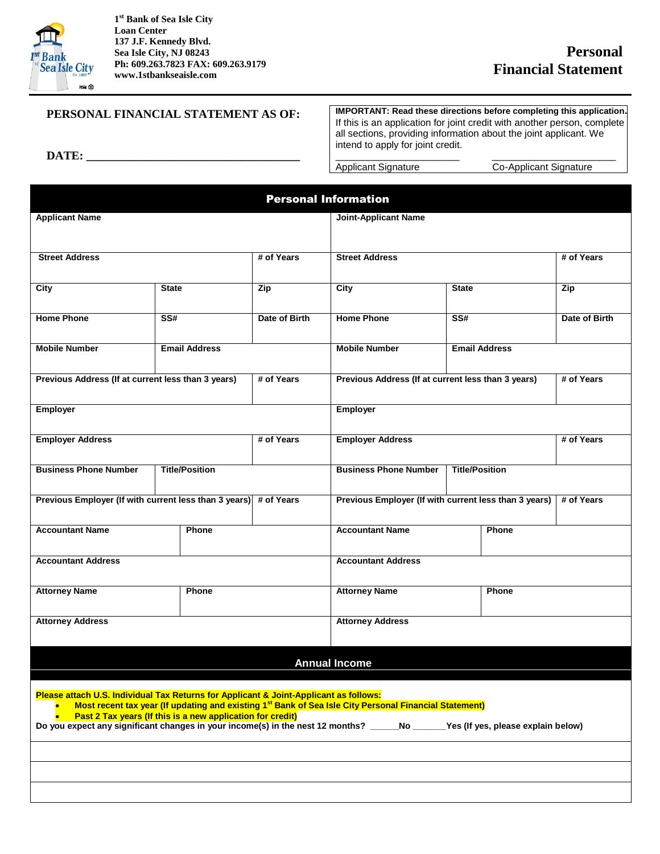

**DATE: \_\_\_\_\_\_\_\_\_\_\_\_\_\_\_\_\_\_\_\_\_\_\_\_\_\_\_\_\_\_\_\_\_\_\_\_**

**1 st Bank of Sea Isle City Loan Center 137 J.F. Kennedy Blvd. Sea Isle City, NJ 08243 Ph: 609.263.7823 FAX: 609.263.9179 www.1stbankseaisle.com**

## **PERSONAL FINANCIAL STATEMENT AS OF:**

**IMPORTANT: Read these directions before completing this application.** If this is an application for joint credit with another person, complete all sections, providing information about the joint applicant. We intend to apply for joint credit.

\_\_\_\_\_\_\_\_\_\_\_\_\_\_\_\_\_\_\_\_\_\_\_ \_\_\_\_\_\_\_\_\_\_\_\_\_\_\_\_\_\_\_\_\_\_\_

Applicant Signature **Co-Applicant Signature** 

| <b>Personal Information</b>                                                                                                                                                                                                                                                                                        |                                                                  |                                                                     |                                                                  |                         |               |  |
|--------------------------------------------------------------------------------------------------------------------------------------------------------------------------------------------------------------------------------------------------------------------------------------------------------------------|------------------------------------------------------------------|---------------------------------------------------------------------|------------------------------------------------------------------|-------------------------|---------------|--|
| <b>Applicant Name</b>                                                                                                                                                                                                                                                                                              |                                                                  |                                                                     | <b>Joint-Applicant Name</b>                                      |                         |               |  |
| <b>Street Address</b>                                                                                                                                                                                                                                                                                              |                                                                  | # of Years                                                          | <b>Street Address</b>                                            |                         | # of Years    |  |
| City                                                                                                                                                                                                                                                                                                               | <b>State</b>                                                     | Zip                                                                 | City                                                             | <b>State</b>            |               |  |
| <b>Home Phone</b>                                                                                                                                                                                                                                                                                                  | $\overline{\text{SS#}}$                                          | Date of Birth                                                       | <b>Home Phone</b>                                                | $\overline{\text{SS#}}$ | Date of Birth |  |
| <b>Mobile Number</b>                                                                                                                                                                                                                                                                                               | <b>Email Address</b>                                             |                                                                     | <b>Mobile Number</b>                                             | <b>Email Address</b>    |               |  |
|                                                                                                                                                                                                                                                                                                                    | Previous Address (If at current less than 3 years)<br># of Years |                                                                     | Previous Address (If at current less than 3 years)<br># of Years |                         |               |  |
| <b>Employer</b>                                                                                                                                                                                                                                                                                                    |                                                                  |                                                                     | Employer                                                         |                         |               |  |
| <b>Employer Address</b>                                                                                                                                                                                                                                                                                            |                                                                  | # of Years                                                          | # of Years<br><b>Employer Address</b>                            |                         |               |  |
| <b>Business Phone Number</b><br><b>Title/Position</b>                                                                                                                                                                                                                                                              |                                                                  |                                                                     | <b>Business Phone Number</b><br><b>Title/Position</b>            |                         |               |  |
| Previous Employer (If with current less than 3 years) # of Years                                                                                                                                                                                                                                                   |                                                                  | Previous Employer (If with current less than 3 years)<br># of Years |                                                                  |                         |               |  |
| <b>Accountant Name</b>                                                                                                                                                                                                                                                                                             | Phone                                                            |                                                                     | <b>Accountant Name</b>                                           | Phone                   |               |  |
| <b>Accountant Address</b>                                                                                                                                                                                                                                                                                          |                                                                  | <b>Accountant Address</b>                                           |                                                                  |                         |               |  |
| <b>Attorney Name</b>                                                                                                                                                                                                                                                                                               | Phone                                                            |                                                                     | <b>Attorney Name</b>                                             | Phone                   |               |  |
| <b>Attorney Address</b>                                                                                                                                                                                                                                                                                            |                                                                  | <b>Attorney Address</b>                                             |                                                                  |                         |               |  |
|                                                                                                                                                                                                                                                                                                                    |                                                                  |                                                                     | <b>Annual Income</b>                                             |                         |               |  |
| Please attach U.S. Individual Tax Returns for Applicant & Joint-Applicant as follows:                                                                                                                                                                                                                              |                                                                  |                                                                     |                                                                  |                         |               |  |
| Most recent tax year (If updating and existing 1 <sup>st</sup> Bank of Sea Isle City Personal Financial Statement)<br>Past 2 Tax years (If this is a new application for credit)<br>Do you expect any significant changes in your income(s) in the nest 12 months? _____No _____Yes (If yes, please explain below) |                                                                  |                                                                     |                                                                  |                         |               |  |
|                                                                                                                                                                                                                                                                                                                    |                                                                  |                                                                     |                                                                  |                         |               |  |
|                                                                                                                                                                                                                                                                                                                    |                                                                  |                                                                     |                                                                  |                         |               |  |
|                                                                                                                                                                                                                                                                                                                    |                                                                  |                                                                     |                                                                  |                         |               |  |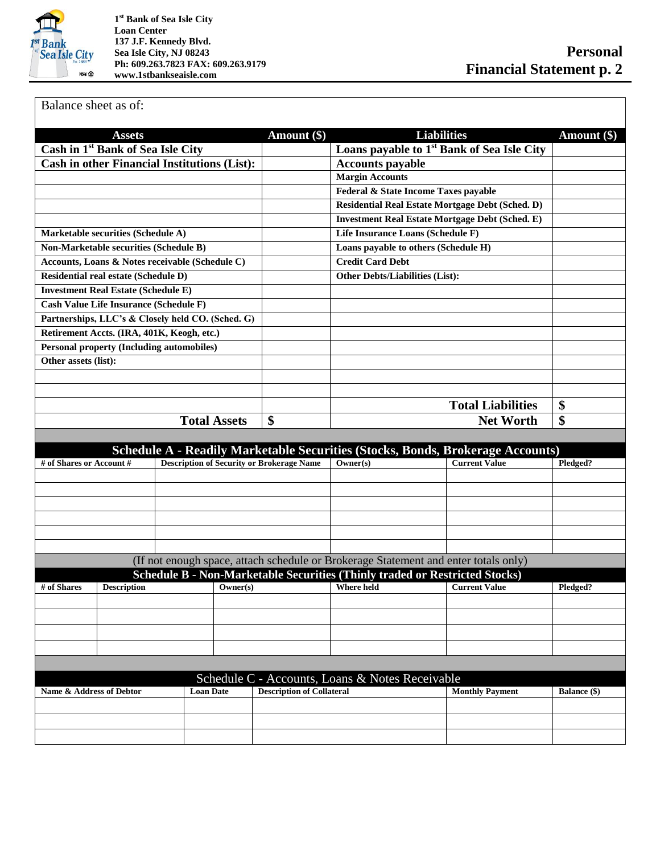

**1 st Bank of Sea Isle City Loan Center 137 J.F. Kennedy Blvd. Sea Isle City, NJ 08243 Ph: 609.263.7823 FAX: 609.263.9179 www.1stbankseaisle.com**

Balance sheet as of:

| <b>Assets</b>                                       |                                                  | <b>Liabilities</b><br>Amount (\$) |                                                                                       | Amount (\$)                                            |                     |  |
|-----------------------------------------------------|--------------------------------------------------|-----------------------------------|---------------------------------------------------------------------------------------|--------------------------------------------------------|---------------------|--|
| Cash in 1 <sup>st</sup> Bank of Sea Isle City       |                                                  |                                   | Loans payable to 1 <sup>st</sup> Bank of Sea Isle City                                |                                                        |                     |  |
| <b>Cash in other Financial Institutions (List):</b> |                                                  |                                   | <b>Accounts payable</b>                                                               |                                                        |                     |  |
|                                                     |                                                  |                                   | <b>Margin Accounts</b>                                                                |                                                        |                     |  |
|                                                     |                                                  |                                   | Federal & State Income Taxes payable                                                  |                                                        |                     |  |
|                                                     |                                                  |                                   | <b>Residential Real Estate Mortgage Debt (Sched. D)</b>                               |                                                        |                     |  |
|                                                     |                                                  |                                   |                                                                                       | <b>Investment Real Estate Mortgage Debt (Sched. E)</b> |                     |  |
| <b>Marketable securities (Schedule A)</b>           |                                                  |                                   | Life Insurance Loans (Schedule F)                                                     |                                                        |                     |  |
| <b>Non-Marketable securities (Schedule B)</b>       |                                                  |                                   | Loans payable to others (Schedule H)                                                  |                                                        |                     |  |
| Accounts, Loans & Notes receivable (Schedule C)     |                                                  |                                   | <b>Credit Card Debt</b>                                                               |                                                        |                     |  |
| Residential real estate (Schedule D)                |                                                  |                                   | <b>Other Debts/Liabilities (List):</b>                                                |                                                        |                     |  |
| <b>Investment Real Estate (Schedule E)</b>          |                                                  |                                   |                                                                                       |                                                        |                     |  |
| <b>Cash Value Life Insurance (Schedule F)</b>       |                                                  |                                   |                                                                                       |                                                        |                     |  |
| Partnerships, LLC's & Closely held CO. (Sched. G)   |                                                  |                                   |                                                                                       |                                                        |                     |  |
| Retirement Accts. (IRA, 401K, Keogh, etc.)          |                                                  |                                   |                                                                                       |                                                        |                     |  |
| <b>Personal property (Including automobiles)</b>    |                                                  |                                   |                                                                                       |                                                        |                     |  |
| Other assets (list):                                |                                                  |                                   |                                                                                       |                                                        |                     |  |
|                                                     |                                                  |                                   |                                                                                       |                                                        |                     |  |
|                                                     |                                                  |                                   |                                                                                       |                                                        |                     |  |
|                                                     |                                                  |                                   |                                                                                       | <b>Total Liabilities</b>                               | \$                  |  |
|                                                     | <b>Total Assets</b>                              | \$                                | <b>Net Worth</b>                                                                      |                                                        | \$                  |  |
|                                                     |                                                  |                                   |                                                                                       |                                                        |                     |  |
|                                                     |                                                  |                                   |                                                                                       |                                                        |                     |  |
|                                                     |                                                  |                                   | <b>Schedule A - Readily Marketable Securities (Stocks, Bonds, Brokerage Accounts)</b> |                                                        |                     |  |
| # of Shares or Account #                            | <b>Description of Security or Brokerage Name</b> |                                   | Owner(s)                                                                              | <b>Current Value</b>                                   | Pledged?            |  |
|                                                     |                                                  |                                   |                                                                                       |                                                        |                     |  |
|                                                     |                                                  |                                   |                                                                                       |                                                        |                     |  |
|                                                     |                                                  |                                   |                                                                                       |                                                        |                     |  |
|                                                     |                                                  |                                   |                                                                                       |                                                        |                     |  |
|                                                     |                                                  |                                   |                                                                                       |                                                        |                     |  |
|                                                     |                                                  |                                   |                                                                                       |                                                        |                     |  |
|                                                     |                                                  |                                   | (If not enough space, attach schedule or Brokerage Statement and enter totals only)   |                                                        |                     |  |
|                                                     |                                                  |                                   | Schedule B - Non-Marketable Securities (Thinly traded or Restricted Stocks)           |                                                        |                     |  |
| # of Shares<br><b>Description</b>                   | Owner(s)                                         |                                   | <b>Where held</b>                                                                     | <b>Current Value</b>                                   | Pledged?            |  |
|                                                     |                                                  |                                   |                                                                                       |                                                        |                     |  |
|                                                     |                                                  |                                   |                                                                                       |                                                        |                     |  |
|                                                     |                                                  |                                   |                                                                                       |                                                        |                     |  |
|                                                     |                                                  |                                   |                                                                                       |                                                        |                     |  |
|                                                     |                                                  |                                   |                                                                                       |                                                        |                     |  |
| Schedule C - Accounts, Loans & Notes Receivable     |                                                  |                                   |                                                                                       |                                                        |                     |  |
| Name & Address of Debtor                            | <b>Loan Date</b>                                 | <b>Description of Collateral</b>  |                                                                                       | <b>Monthly Payment</b>                                 | <b>Balance</b> (\$) |  |
|                                                     |                                                  |                                   |                                                                                       |                                                        |                     |  |
|                                                     |                                                  |                                   |                                                                                       |                                                        |                     |  |
|                                                     |                                                  |                                   |                                                                                       |                                                        |                     |  |
|                                                     |                                                  |                                   |                                                                                       |                                                        |                     |  |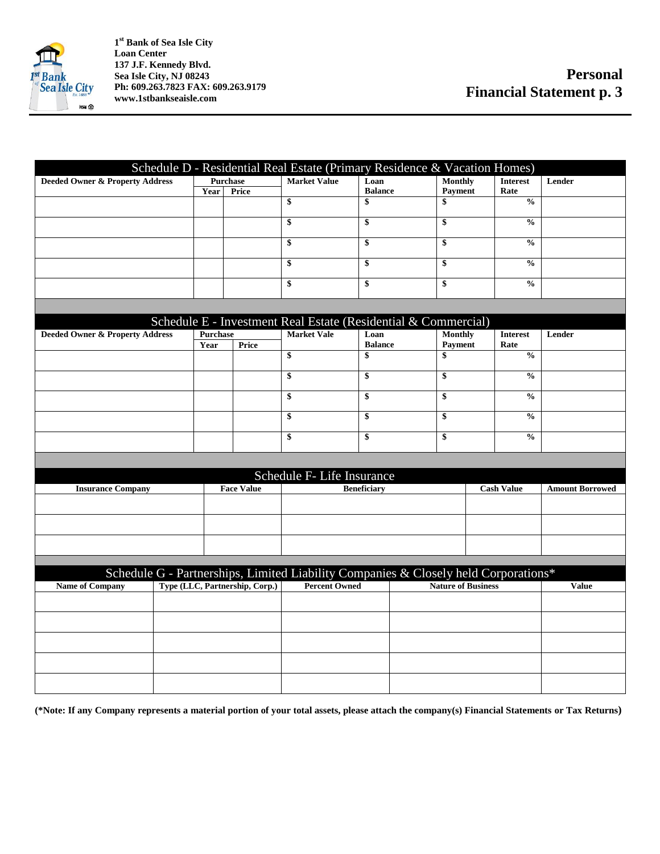

**1 st Bank of Sea Isle City Loan Center 137 J.F. Kennedy Blvd. Sea Isle City, NJ 08243 Ph: 609.263.7823 FAX: 609.263.9179 www.1stbankseaisle.com**

|                                                                                     |          |                                 |                            |                      | Schedule D - Residential Real Estate (Primary Residence & Vacation Homes) |                       |                        |
|-------------------------------------------------------------------------------------|----------|---------------------------------|----------------------------|----------------------|---------------------------------------------------------------------------|-----------------------|------------------------|
| <b>Deeded Owner &amp; Property Address</b>                                          |          | <b>Market Value</b><br>Purchase |                            | Loan                 | <b>Monthly</b>                                                            | <b>Interest</b>       | Lender                 |
|                                                                                     | Year     | Price                           | \$                         | <b>Balance</b><br>\$ | Payment<br>\$                                                             | Rate<br>$\frac{0}{0}$ |                        |
|                                                                                     |          |                                 |                            |                      |                                                                           |                       |                        |
|                                                                                     |          |                                 | $\overline{\mathbf{s}}$    | \$                   | \$                                                                        | $\frac{0}{0}$         |                        |
|                                                                                     |          |                                 | \$                         | \$                   | \$                                                                        | $\frac{0}{0}$         |                        |
|                                                                                     |          |                                 | \$                         | \$                   | \$                                                                        | $\frac{0}{0}$         |                        |
|                                                                                     |          |                                 | \$                         | \$                   | \$                                                                        | $\frac{0}{0}$         |                        |
|                                                                                     |          |                                 |                            |                      |                                                                           |                       |                        |
|                                                                                     |          |                                 |                            |                      | Schedule E - Investment Real Estate (Residential & Commercial)            |                       |                        |
| <b>Deeded Owner &amp; Property Address</b>                                          | Purchase |                                 | <b>Market Vale</b>         | Loan                 | <b>Monthly</b>                                                            | <b>Interest</b>       | Lender                 |
|                                                                                     | Year     | Price                           | \$                         | <b>Balance</b><br>\$ | <b>Payment</b><br>\$                                                      | Rate<br>$\frac{0}{0}$ |                        |
|                                                                                     |          |                                 |                            |                      |                                                                           |                       |                        |
|                                                                                     |          |                                 | \$                         | \$                   | \$                                                                        | $\frac{0}{0}$         |                        |
|                                                                                     |          |                                 | \$                         | \$                   | \$                                                                        | $\frac{0}{0}$         |                        |
|                                                                                     |          |                                 | \$                         | \$                   | \$                                                                        | $\frac{6}{9}$         |                        |
|                                                                                     |          |                                 | \$                         | \$                   | \$                                                                        | $\frac{0}{0}$         |                        |
|                                                                                     |          |                                 |                            |                      |                                                                           |                       |                        |
|                                                                                     |          |                                 | Schedule F- Life Insurance |                      |                                                                           |                       |                        |
| <b>Insurance Company</b>                                                            |          | <b>Face Value</b>               |                            | <b>Beneficiary</b>   |                                                                           | <b>Cash Value</b>     | <b>Amount Borrowed</b> |
|                                                                                     |          |                                 |                            |                      |                                                                           |                       |                        |
|                                                                                     |          |                                 |                            |                      |                                                                           |                       |                        |
|                                                                                     |          |                                 |                            |                      |                                                                           |                       |                        |
|                                                                                     |          |                                 |                            |                      |                                                                           |                       |                        |
| Schedule G - Partnerships, Limited Liability Companies & Closely held Corporations* |          |                                 |                            |                      |                                                                           |                       |                        |
| <b>Name of Company</b>                                                              |          | Type (LLC, Partnership, Corp.)  | <b>Percent Owned</b>       |                      | <b>Nature of Business</b>                                                 |                       | <b>Value</b>           |
|                                                                                     |          |                                 |                            |                      |                                                                           |                       |                        |
|                                                                                     |          |                                 |                            |                      |                                                                           |                       |                        |
|                                                                                     |          |                                 |                            |                      |                                                                           |                       |                        |
|                                                                                     |          |                                 |                            |                      |                                                                           |                       |                        |
|                                                                                     |          |                                 |                            |                      |                                                                           |                       |                        |

**(\*Note: If any Company represents a material portion of your total assets, please attach the company(s) Financial Statements or Tax Returns)**